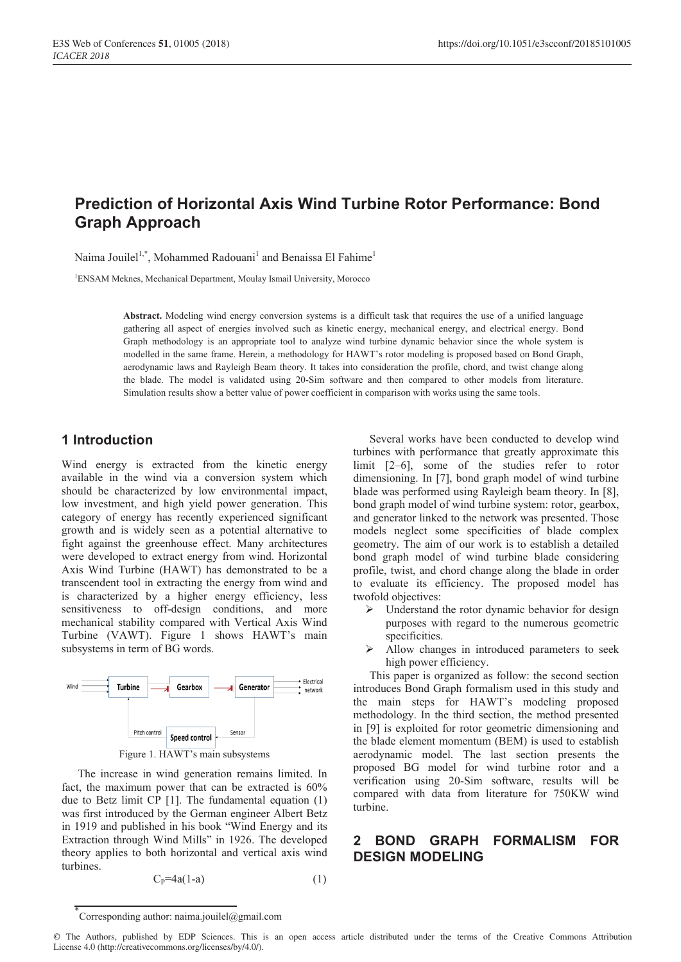# **Prediction of Horizontal Axis Wind Turbine Rotor Performance: Bond Graph Approach**

Naima Jouilel<sup>1,\*</sup>, Mohammed Radouani<sup>1</sup> and Benaissa El Fahime<sup>1</sup>

<sup>1</sup>ENSAM Meknes, Mechanical Department, Moulay Ismail University, Morocco

**Abstract.** Modeling wind energy conversion systems is a difficult task that requires the use of a unified language gathering all aspect of energies involved such as kinetic energy, mechanical energy, and electrical energy. Bond Graph methodology is an appropriate tool to analyze wind turbine dynamic behavior since the whole system is modelled in the same frame. Herein, a methodology for HAWT's rotor modeling is proposed based on Bond Graph, aerodynamic laws and Rayleigh Beam theory. It takes into consideration the profile, chord, and twist change along the blade. The model is validated using 20-Sim software and then compared to other models from literature. Simulation results show a better value of power coefficient in comparison with works using the same tools.

## **1 Introduction**

Wind energy is extracted from the kinetic energy available in the wind via a conversion system which should be characterized by low environmental impact, low investment, and high yield power generation. This category of energy has recently experienced significant growth and is widely seen as a potential alternative to fight against the greenhouse effect. Many architectures were developed to extract energy from wind. Horizontal Axis Wind Turbine (HAWT) has demonstrated to be a transcendent tool in extracting the energy from wind and is characterized by a higher energy efficiency, less sensitiveness to off-design conditions, and more mechanical stability compared with Vertical Axis Wind Turbine (VAWT). Figure 1 shows HAWT's main subsystems in term of BG words.



The increase in wind generation remains limited. In fact, the maximum power that can be extracted is 60% due to Betz limit CP [1]. The fundamental equation (1) was first introduced by the German engineer Albert Betz in 1919 and published in his book "Wind Energy and its Extraction through Wind Mills" in 1926. The developed theory applies to both horizontal and vertical axis wind turbines.

$$
C_P = 4a(1-a) \tag{1}
$$

Several works have been conducted to develop wind turbines with performance that greatly approximate this limit [2–6], some of the studies refer to rotor dimensioning. In [7], bond graph model of wind turbine blade was performed using Rayleigh beam theory. In [8], bond graph model of wind turbine system: rotor, gearbox, and generator linked to the network was presented. Those models neglect some specificities of blade complex geometry. The aim of our work is to establish a detailed bond graph model of wind turbine blade considering profile, twist, and chord change along the blade in order to evaluate its efficiency. The proposed model has twofold objectives:

- $\triangleright$  Understand the rotor dynamic behavior for design purposes with regard to the numerous geometric specificities.
- $\triangleright$  Allow changes in introduced parameters to seek high power efficiency.

This paper is organized as follow: the second section introduces Bond Graph formalism used in this study and the main steps for HAWT's modeling proposed methodology. In the third section, the method presented in [9] is exploited for rotor geometric dimensioning and the blade element momentum (BEM) is used to establish aerodynamic model. The last section presents the proposed BG model for wind turbine rotor and a verification using 20-Sim software, results will be compared with data from literature for 750KW wind turbine.

## **2 BOND GRAPH FORMALISM FOR DESIGN MODELING**

<sup>\*</sup> Corresponding author: naima.jouilel@gmail.com

<sup>©</sup> The Authors, published by EDP Sciences. This is an open access article distributed under the terms of the Creative Commons Attribution License 4.0 (http://creativecommons.org/licenses/by/4.0/).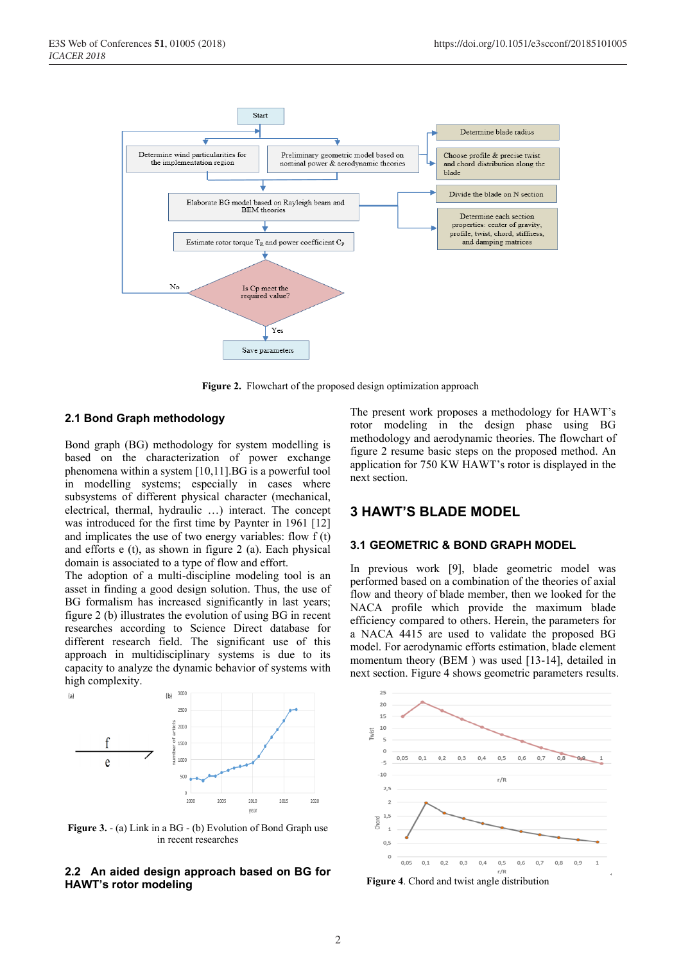

**Figure 2.** Flowchart of the proposed design optimization approach

#### **2.1 Bond Graph methodology**

Bond graph (BG) methodology for system modelling is based on the characterization of power exchange phenomena within a system [10,11].BG is a powerful tool in modelling systems; especially in cases where subsystems of different physical character (mechanical, electrical, thermal, hydraulic …) interact. The concept was introduced for the first time by Paynter in 1961 [12] and implicates the use of two energy variables: flow f (t) and efforts e (t), as shown in figure 2 (a). Each physical domain is associated to a type of flow and effort.

The adoption of a multi-discipline modeling tool is an asset in finding a good design solution. Thus, the use of BG formalism has increased significantly in last years; figure 2 (b) illustrates the evolution of using BG in recent researches according to Science Direct database for different research field. The significant use of this approach in multidisciplinary systems is due to its capacity to analyze the dynamic behavior of systems with high complexity.



**Figure 3.** - (a) Link in a BG - (b) Evolution of Bond Graph use in recent researches

#### **2.2 An aided design approach based on BG for HAWT's rotor modeling**

The present work proposes a methodology for HAWT's rotor modeling in the design phase using BG methodology and aerodynamic theories. The flowchart of figure 2 resume basic steps on the proposed method. An application for 750 KW HAWT's rotor is displayed in the next section.

### **3 HAWT'S BLADE MODEL**

#### **3.1 GEOMETRIC & BOND GRAPH MODEL**

In previous work [9], blade geometric model was performed based on a combination of the theories of axial flow and theory of blade member, then we looked for the NACA profile which provide the maximum blade efficiency compared to others. Herein, the parameters for a NACA 4415 are used to validate the proposed BG model. For aerodynamic efforts estimation, blade element momentum theory (BEM) was used [13-14], detailed in next section. Figure 4 shows geometric parameters results.



**Figure 4**. Chord and twist angle distribution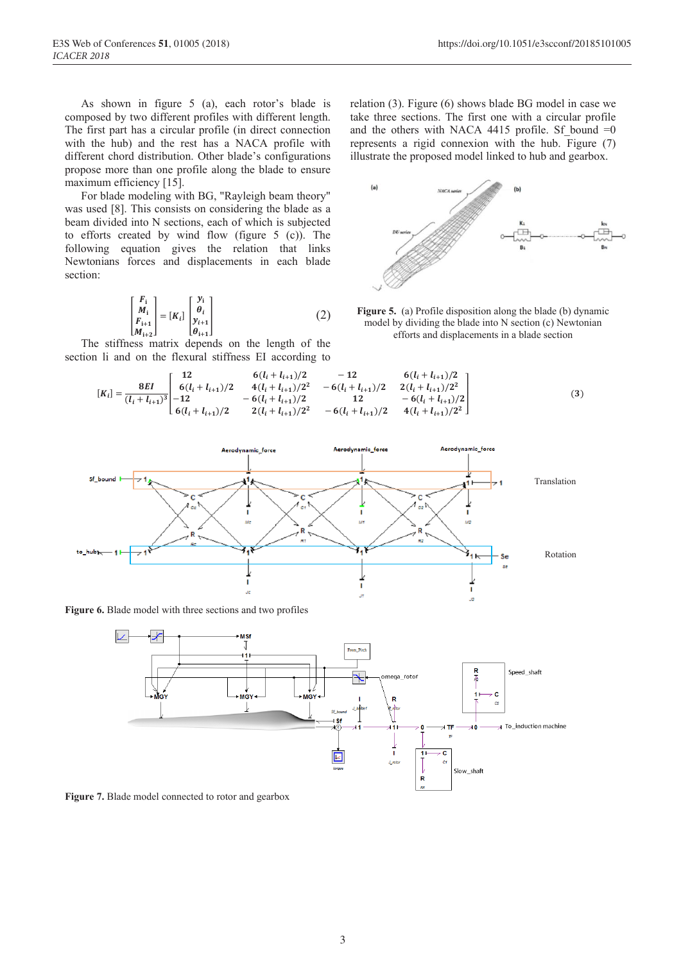As shown in figure 5 (a), each rotor's blade is composed by two different profiles with different length. The first part has a circular profile (in direct connection with the hub) and the rest has a NACA profile with different chord distribution. Other blade's configurations propose more than one profile along the blade to ensure maximum efficiency [15].

For blade modeling with BG, "Rayleigh beam theory" was used [8]. This consists on considering the blade as a beam divided into N sections, each of which is subjected to efforts created by wind flow (figure 5 (c)). The following equation gives the relation that links Newtonians forces and displacements in each blade section:

$$
\begin{bmatrix} F_i \\ M_i \\ F_{i+1} \\ M_{i+2} \end{bmatrix} = [K_i] \begin{bmatrix} y_i \\ \theta_i \\ y_{i+1} \\ \theta_{i+1} \end{bmatrix}
$$
 (2)

The stiffness matrix depends on the length of the section li and on the flexural stiffness EI according to

relation (3). Figure (6) shows blade BG model in case we take three sections. The first one with a circular profile and the others with NACA 4415 profile. Sf bound  $=0$ represents a rigid connexion with the hub. Figure (7) illustrate the proposed model linked to hub and gearbox.



**Figure 5.** (a) Profile disposition along the blade (b) dynamic model by dividing the blade into N section (c) Newtonian efforts and displacements in a blade section

$$
[K_{i}] = \frac{8EI}{(l_{i} + l_{i+1})^{3}} \begin{bmatrix} 12 & 6(l_{i} + l_{i+1})/2 & -12 & 6(l_{i} + l_{i+1})/2 \\ 6(l_{i} + l_{i+1})/2 & 4(l_{i} + l_{i+1})/2^{2} & -6(l_{i} + l_{i+1})/2 & 2(l_{i} + l_{i+1})/2^{2} \\ -6(l_{i} + l_{i+1})/2 & 12 & -6(l_{i} + l_{i+1})/2 \\ 6(l_{i} + l_{i+1})/2 & 2(l_{i} + l_{i+1})/2^{2} & -6(l_{i} + l_{i+1})/2 & 4(l_{i} + l_{i+1})/2^{2} \end{bmatrix}
$$
(3)



**Figure 6.** Blade model with three sections and two profiles



**Figure 7.** Blade model connected to rotor and gearbox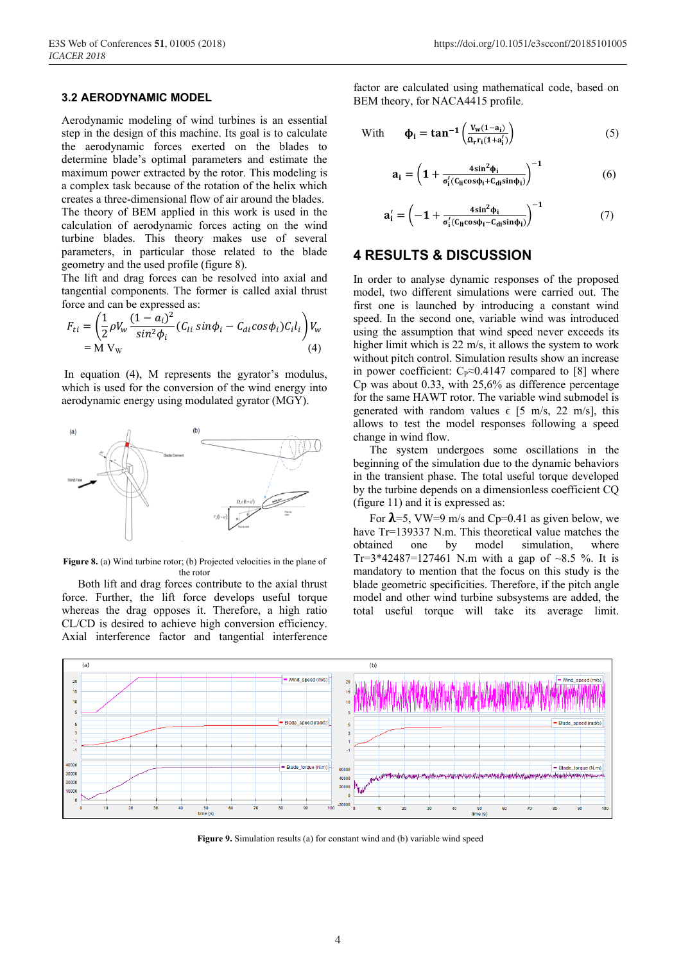### **3.2 AERODYNAMIC MODEL**

Aerodynamic modeling of wind turbines is an essential step in the design of this machine. Its goal is to calculate the aerodynamic forces exerted on the blades to determine blade's optimal parameters and estimate the maximum power extracted by the rotor. This modeling is a complex task because of the rotation of the helix which creates a three-dimensional flow of air around the blades. The theory of BEM applied in this work is used in the calculation of aerodynamic forces acting on the wind turbine blades. This theory makes use of several parameters, in particular those related to the blade geometry and the used profile (figure 8).

The lift and drag forces can be resolved into axial and tangential components. The former is called axial thrust force and can be expressed as:

$$
F_{ti} = \left(\frac{1}{2}\rho V_w \frac{(1-a_i)^2}{\sin^2 \phi_i} (C_{li} \sin \phi_i - C_{di} \cos \phi_i) C_i l_i\right) V_w
$$
  
= M V<sub>w</sub> (4)

In equation (4), M represents the gyrator's modulus, which is used for the conversion of the wind energy into aerodynamic energy using modulated gyrator (MGY).



**Figure 8.** (a) Wind turbine rotor; (b) Projected velocities in the plane of the rotor

Both lift and drag forces contribute to the axial thrust force. Further, the lift force develops useful torque whereas the drag opposes it. Therefore, a high ratio CL/CD is desired to achieve high conversion efficiency. Axial interference factor and tangential interference

factor are calculated using mathematical code, based on BEM theory, for NACA4415 profile.

With 
$$
\boldsymbol{\phi}_{i} = \tan^{-1} \left( \frac{V_{w}(1-a_{i})}{\Omega_{r} r_{i}(1+a'_{i})} \right) \tag{5}
$$

$$
\mathbf{a_i} = \left(1 + \frac{4\sin^2\phi_i}{\sigma_i'(C_{li}cos\phi_i + C_{di}sin\phi_i)}\right)^{-1} \tag{6}
$$

$$
a'_{i} = \left(-1 + \frac{4\sin^2\phi_i}{\sigma'_i (C_{li} \cos\phi_i - C_{di} \sin\phi_i)}\right)^{-1}
$$
(7)

### **4 RESULTS & DISCUSSION**

In order to analyse dynamic responses of the proposed model, two different simulations were carried out. The first one is launched by introducing a constant wind speed. In the second one, variable wind was introduced using the assumption that wind speed never exceeds its higher limit which is 22 m/s, it allows the system to work without pitch control. Simulation results show an increase in power coefficient:  $C_P \approx 0.4147$  compared to [8] where Cp was about 0.33, with 25,6% as difference percentage for the same HAWT rotor. The variable wind submodel is generated with random values  $\epsilon$  [5 m/s, 22 m/s], this allows to test the model responses following a speed change in wind flow.

The system undergoes some oscillations in the beginning of the simulation due to the dynamic behaviors in the transient phase. The total useful torque developed by the turbine depends on a dimensionless coefficient CQ (figure 11) and it is expressed as:

For  $\lambda$ =5, VW=9 m/s and Cp=0.41 as given below, we have Tr=139337 N.m. This theoretical value matches the obtained one by model simulation, where Tr=3\*42487=127461 N.m with a gap of  $\sim 8.5$  %. It is mandatory to mention that the focus on this study is the blade geometric specificities. Therefore, if the pitch angle model and other wind turbine subsystems are added, the total useful torque will take its average limit.



**Figure 9.** Simulation results (a) for constant wind and (b) variable wind speed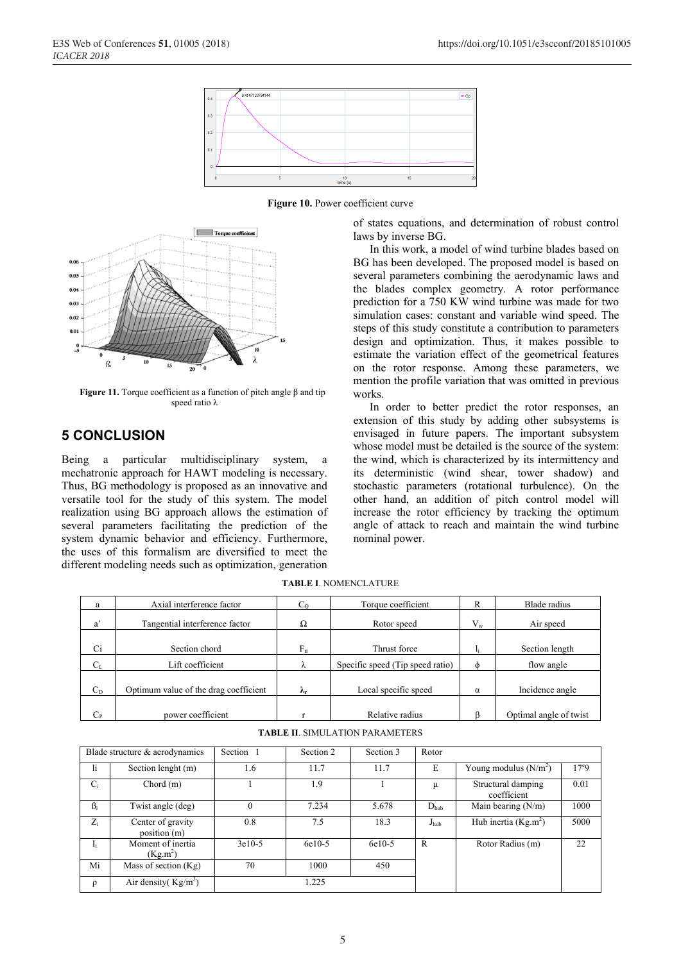





**Figure 11.** Torque coefficient as a function of pitch angle β and tip speed ratio λ

## **5 CONCLUSION**

Being a particular multidisciplinary system, a mechatronic approach for HAWT modeling is necessary. Thus, BG methodology is proposed as an innovative and versatile tool for the study of this system. The model realization using BG approach allows the estimation of several parameters facilitating the prediction of the system dynamic behavior and efficiency. Furthermore, the uses of this formalism are diversified to meet the different modeling needs such as optimization, generation

of states equations, and determination of robust control laws by inverse BG.

In this work, a model of wind turbine blades based on BG has been developed. The proposed model is based on several parameters combining the aerodynamic laws and the blades complex geometry. A rotor performance prediction for a 750 KW wind turbine was made for two simulation cases: constant and variable wind speed. The steps of this study constitute a contribution to parameters design and optimization. Thus, it makes possible to estimate the variation effect of the geometrical features on the rotor response. Among these parameters, we mention the profile variation that was omitted in previous works.

In order to better predict the rotor responses, an extension of this study by adding other subsystems is envisaged in future papers. The important subsystem whose model must be detailed is the source of the system: the wind, which is characterized by its intermittency and its deterministic (wind shear, tower shadow) and stochastic parameters (rotational turbulence). On the other hand, an addition of pitch control model will increase the rotor efficiency by tracking the optimum angle of attack to reach and maintain the wind turbine nominal power.

| a       | Axial interference factor             |                    | Torque coefficient               | R       | Blade radius           |  |
|---------|---------------------------------------|--------------------|----------------------------------|---------|------------------------|--|
| a'      | Tangential interference factor        | Ω                  | Rotor speed                      | $V_{w}$ | Air speed              |  |
| Ci      | Section chord                         | ${\rm F}_{\rm fi}$ | Thrust force                     |         | Section length         |  |
| $C_{L}$ | Lift coefficient                      | λ                  | Specific speed (Tip speed ratio) | ⋔       | flow angle             |  |
| $C_D$   | Optimum value of the drag coefficient | л.                 | Local specific speed             | α       | Incidence angle        |  |
| $C_{P}$ | power coefficient                     |                    | Relative radius                  |         | Optimal angle of twist |  |

**TABLE I**. NOMENCLATURE

|  | <b>TABLE II. SIMULATION PARAMETERS</b> |  |
|--|----------------------------------------|--|
|--|----------------------------------------|--|

| Blade structure & aerodynamics |                                   | Section 1 | Section 2 | Section 3 | Rotor            |                                   |               |
|--------------------------------|-----------------------------------|-----------|-----------|-----------|------------------|-----------------------------------|---------------|
| 1i.                            | Section lenght (m)                | 1.6       | 11.7      | 11.7      | E                | Young modulus $(N/m^2)$           | $17^{\circ}9$ |
| $C_i$                          | Chord $(m)$                       |           | 1.9       |           | μ                | Structural damping<br>coefficient | 0.01          |
| $\beta_i$                      | Twist angle (deg)                 |           | 7.234     | 5.678     | $D_{\text{hub}}$ | Main bearing $(N/m)$              | 1000          |
| $Z_i$                          | Center of gravity<br>position (m) | 0.8       | 7.5       | 18.3      | $J_{\text{hub}}$ | Hub inertia ( $Kg.m^2$ )          | 5000          |
| $I_i$                          | Moment of inertia<br>$(Kg.m^2)$   | $3e10-5$  | 6e10-5    | 6e10-5    | R                | Rotor Radius (m)                  | 22            |
| Mi                             | Mass of section $(Kg)$            | 70        | 1000      | 450       |                  |                                   |               |
| ρ                              | Air density( $Kg/m3$ )            |           | .225      |           |                  |                                   |               |